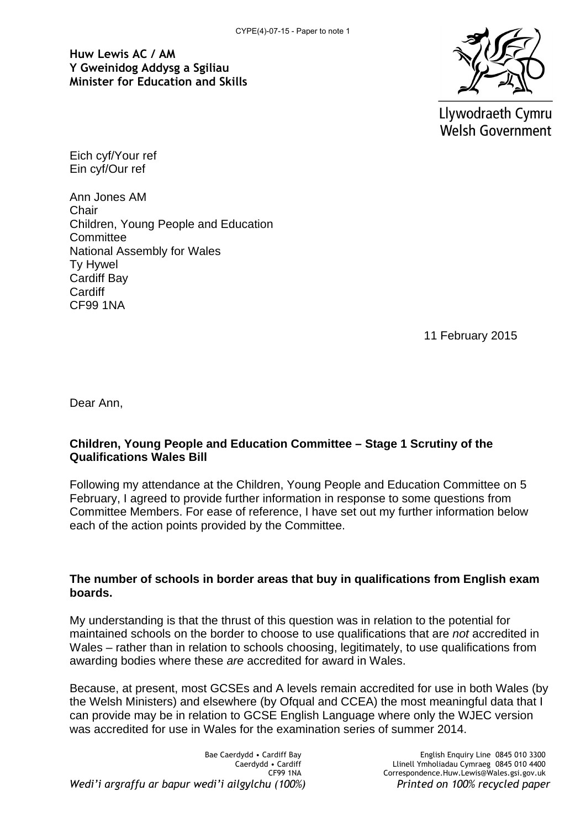**Huw Lewis AC / AM Y Gweinidog Addysg a Sgiliau Minister for Education and Skills**



Llywodraeth Cymru **Welsh Government** 

Eich cyf/Your ref Ein cyf/Our ref

Ann Jones AM **Chair** Children, Young People and Education **Committee** National Assembly for Wales Ty Hywel Cardiff Bay **Cardiff** CF99 1NA

11 February 2015

Dear Ann,

## **Children, Young People and Education Committee – Stage 1 Scrutiny of the Qualifications Wales Bill**

Following my attendance at the Children, Young People and Education Committee on 5 February, I agreed to provide further information in response to some questions from Committee Members. For ease of reference, I have set out my further information below each of the action points provided by the Committee.

# **The number of schools in border areas that buy in qualifications from English exam boards.**

My understanding is that the thrust of this question was in relation to the potential for maintained schools on the border to choose to use qualifications that are *not* accredited in Wales – rather than in relation to schools choosing, legitimately, to use qualifications from awarding bodies where these *are* accredited for award in Wales.

Because, at present, most GCSEs and A levels remain accredited for use in both Wales (by the Welsh Ministers) and elsewhere (by Ofqual and CCEA) the most meaningful data that I can provide may be in relation to GCSE English Language where only the WJEC version was accredited for use in Wales for the examination series of summer 2014.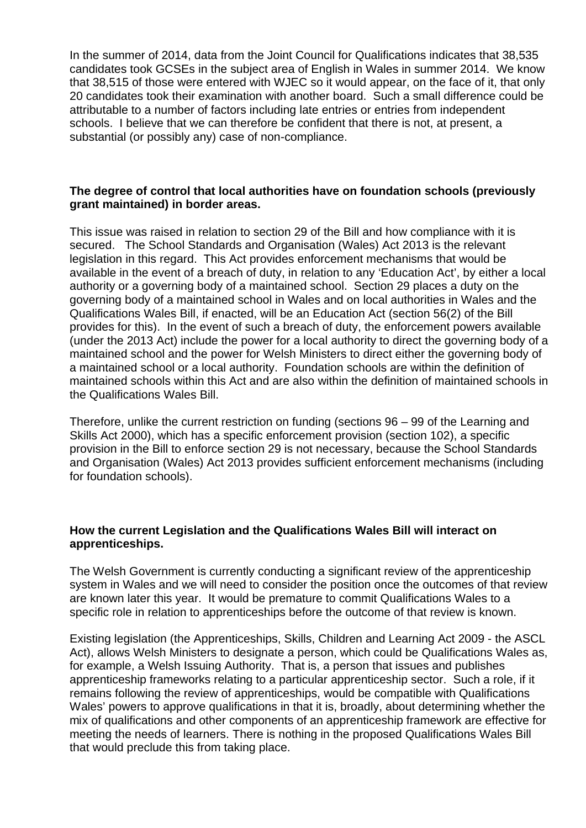In the summer of 2014, data from the Joint Council for Qualifications indicates that 38,535 candidates took GCSEs in the subject area of English in Wales in summer 2014. We know that 38,515 of those were entered with WJEC so it would appear, on the face of it, that only 20 candidates took their examination with another board. Such a small difference could be attributable to a number of factors including late entries or entries from independent schools. I believe that we can therefore be confident that there is not, at present, a substantial (or possibly any) case of non-compliance.

## **The degree of control that local authorities have on foundation schools (previously grant maintained) in border areas.**

This issue was raised in relation to section 29 of the Bill and how compliance with it is secured. The School Standards and Organisation (Wales) Act 2013 is the relevant legislation in this regard. This Act provides enforcement mechanisms that would be available in the event of a breach of duty, in relation to any 'Education Act', by either a local authority or a governing body of a maintained school. Section 29 places a duty on the governing body of a maintained school in Wales and on local authorities in Wales and the Qualifications Wales Bill, if enacted, will be an Education Act (section 56(2) of the Bill provides for this). In the event of such a breach of duty, the enforcement powers available (under the 2013 Act) include the power for a local authority to direct the governing body of a maintained school and the power for Welsh Ministers to direct either the governing body of a maintained school or a local authority. Foundation schools are within the definition of maintained schools within this Act and are also within the definition of maintained schools in the Qualifications Wales Bill.

Therefore, unlike the current restriction on funding (sections 96 – 99 of the Learning and Skills Act 2000), which has a specific enforcement provision (section 102), a specific provision in the Bill to enforce section 29 is not necessary, because the School Standards and Organisation (Wales) Act 2013 provides sufficient enforcement mechanisms (including for foundation schools).

## **How the current Legislation and the Qualifications Wales Bill will interact on apprenticeships.**

The Welsh Government is currently conducting a significant review of the apprenticeship system in Wales and we will need to consider the position once the outcomes of that review are known later this year. It would be premature to commit Qualifications Wales to a specific role in relation to apprenticeships before the outcome of that review is known.

Existing legislation (the Apprenticeships, Skills, Children and Learning Act 2009 - the ASCL Act), allows Welsh Ministers to designate a person, which could be Qualifications Wales as, for example, a Welsh Issuing Authority. That is, a person that issues and publishes apprenticeship frameworks relating to a particular apprenticeship sector. Such a role, if it remains following the review of apprenticeships, would be compatible with Qualifications Wales' powers to approve qualifications in that it is, broadly, about determining whether the mix of qualifications and other components of an apprenticeship framework are effective for meeting the needs of learners. There is nothing in the proposed Qualifications Wales Bill that would preclude this from taking place.